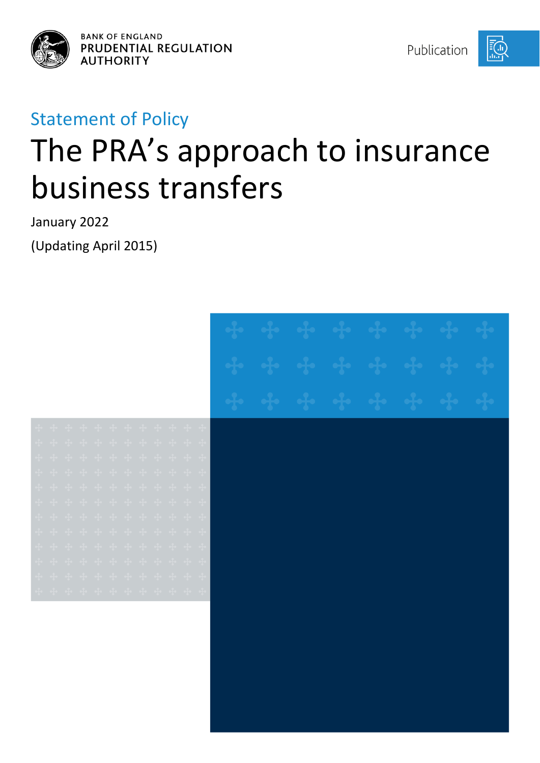



# Statement of Policy

# The PRA's approach to insurance business transfers

January 2022 (Updating April 2015)

| + + + + + + + + + + + +<br>+ + + + + + + + + + + + +<br>+ + + + + + + + + + + + +<br>+ + + + + + + + + + + + +<br>$\Phi$ of $\Phi$ of $\Phi$ of $\Phi$ of $\Phi$ of $\Phi$ of $\Phi$<br>+ + + + + + + + + + + +<br>.<br>+ + + + + + + + + + + + +<br>$\ddot{\phi}$ $\ddot{\phi}$ $\ddot{\phi}$ $\ddot{\phi}$ $\ddot{\phi}$ $\ddot{\phi}$ $\ddot{\phi}$ $\ddot{\phi}$ $\ddot{\phi}$ $\ddot{\phi}$ $\ddot{\phi}$ $\ddot{\phi}$ $\ddot{\phi}$<br>+ + + + + + + + + + + +<br>$\Phi$ and $\Phi$ and $\Phi$ and $\Phi$ and $\Phi$ and $\Phi$ and $\Phi$ |  |  |  |  |  |  |  |  |  |  |
|---------------------------------------------------------------------------------------------------------------------------------------------------------------------------------------------------------------------------------------------------------------------------------------------------------------------------------------------------------------------------------------------------------------------------------------------------------------------------------------------------------------------------------------------------|--|--|--|--|--|--|--|--|--|--|
|                                                                                                                                                                                                                                                                                                                                                                                                                                                                                                                                                   |  |  |  |  |  |  |  |  |  |  |
|                                                                                                                                                                                                                                                                                                                                                                                                                                                                                                                                                   |  |  |  |  |  |  |  |  |  |  |
|                                                                                                                                                                                                                                                                                                                                                                                                                                                                                                                                                   |  |  |  |  |  |  |  |  |  |  |
|                                                                                                                                                                                                                                                                                                                                                                                                                                                                                                                                                   |  |  |  |  |  |  |  |  |  |  |
|                                                                                                                                                                                                                                                                                                                                                                                                                                                                                                                                                   |  |  |  |  |  |  |  |  |  |  |
|                                                                                                                                                                                                                                                                                                                                                                                                                                                                                                                                                   |  |  |  |  |  |  |  |  |  |  |
|                                                                                                                                                                                                                                                                                                                                                                                                                                                                                                                                                   |  |  |  |  |  |  |  |  |  |  |
|                                                                                                                                                                                                                                                                                                                                                                                                                                                                                                                                                   |  |  |  |  |  |  |  |  |  |  |
|                                                                                                                                                                                                                                                                                                                                                                                                                                                                                                                                                   |  |  |  |  |  |  |  |  |  |  |
|                                                                                                                                                                                                                                                                                                                                                                                                                                                                                                                                                   |  |  |  |  |  |  |  |  |  |  |
|                                                                                                                                                                                                                                                                                                                                                                                                                                                                                                                                                   |  |  |  |  |  |  |  |  |  |  |
|                                                                                                                                                                                                                                                                                                                                                                                                                                                                                                                                                   |  |  |  |  |  |  |  |  |  |  |
|                                                                                                                                                                                                                                                                                                                                                                                                                                                                                                                                                   |  |  |  |  |  |  |  |  |  |  |
|                                                                                                                                                                                                                                                                                                                                                                                                                                                                                                                                                   |  |  |  |  |  |  |  |  |  |  |
|                                                                                                                                                                                                                                                                                                                                                                                                                                                                                                                                                   |  |  |  |  |  |  |  |  |  |  |
|                                                                                                                                                                                                                                                                                                                                                                                                                                                                                                                                                   |  |  |  |  |  |  |  |  |  |  |
|                                                                                                                                                                                                                                                                                                                                                                                                                                                                                                                                                   |  |  |  |  |  |  |  |  |  |  |
|                                                                                                                                                                                                                                                                                                                                                                                                                                                                                                                                                   |  |  |  |  |  |  |  |  |  |  |
|                                                                                                                                                                                                                                                                                                                                                                                                                                                                                                                                                   |  |  |  |  |  |  |  |  |  |  |
|                                                                                                                                                                                                                                                                                                                                                                                                                                                                                                                                                   |  |  |  |  |  |  |  |  |  |  |
|                                                                                                                                                                                                                                                                                                                                                                                                                                                                                                                                                   |  |  |  |  |  |  |  |  |  |  |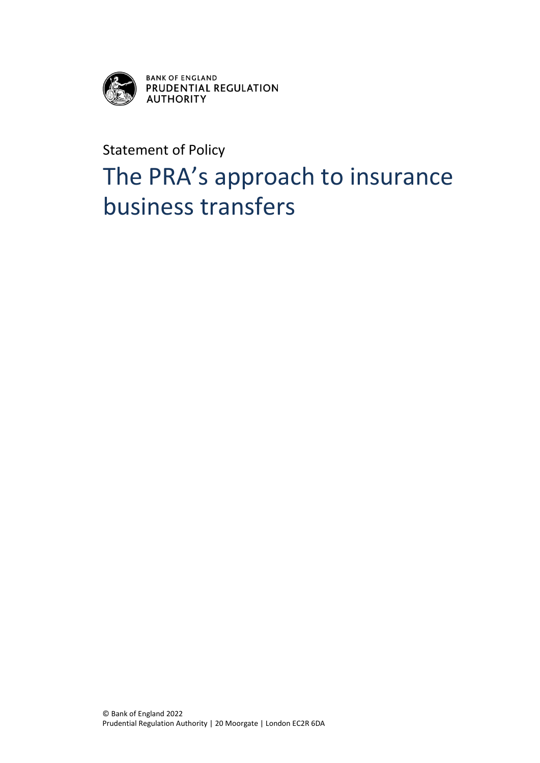

BANK OF ENGLAND<br>PRUDENTIAL REGULATION<br>AUTHORITY

Statement of Policy

# The PRA's approach to insurance business transfers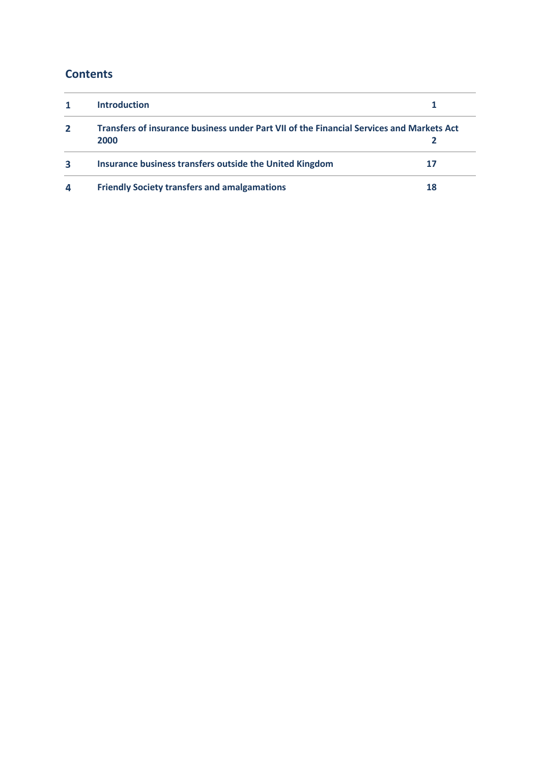## **Contents**

|                | <b>Introduction</b>                                                                              |    |
|----------------|--------------------------------------------------------------------------------------------------|----|
| $\overline{2}$ | Transfers of insurance business under Part VII of the Financial Services and Markets Act<br>2000 |    |
| 3              | Insurance business transfers outside the United Kingdom                                          |    |
| 4              | <b>Friendly Society transfers and amalgamations</b>                                              | 18 |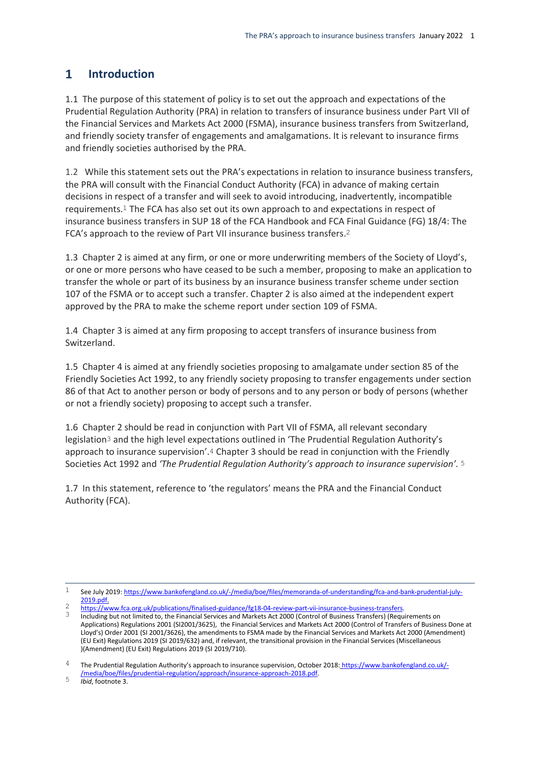#### <span id="page-3-0"></span> $\mathbf{1}$ **Introduction**

1.1 The purpose of this statement of policy is to set out the approach and expectations of the Prudential Regulation Authority (PRA) in relation to transfers of insurance business under Part VII of the Financial Services and Markets Act 2000 (FSMA), insurance business transfers from Switzerland, and friendly society transfer of engagements and amalgamations. It is relevant to insurance firms and friendly societies authorised by the PRA.

1.2 While this statement sets out the PRA's expectations in relation to insurance business transfers, the PRA will consult with the Financial Conduct Authority (FCA) in advance of making certain decisions in respect of a transfer and will seek to avoid introducing, inadvertently, incompatible requirements.1 The FCA has also set out its own approach to and expectations in respect of insurance business transfers in SUP 18 of the FCA Handbook and FCA Final Guidance (FG) 18/4: The FCA's approach to the review of Part VII insurance business transfers.2

1.3 Chapter 2 is aimed at any firm, or one or more underwriting members of the Society of Lloyd's, or one or more persons who have ceased to be such a member, proposing to make an application to transfer the whole or part of its business by an insurance business transfer scheme under section 107 of the FSMA or to accept such a transfer. Chapter 2 is also aimed at the independent expert approved by the PRA to make the scheme report under section 109 of FSMA.

1.4 Chapter 3 is aimed at any firm proposing to accept transfers of insurance business from Switzerland.

1.5 Chapter 4 is aimed at any friendly societies proposing to amalgamate under section 85 of the Friendly Societies Act 1992, to any friendly society proposing to transfer engagements under section 86 of that Act to another person or body of persons and to any person or body of persons (whether or not a friendly society) proposing to accept such a transfer.

1.6 Chapter 2 should be read in conjunction with Part VII of FSMA, all relevant secondary legislation<sup>3</sup> and the high level expectations outlined in 'The Prudential Regulation Authority's approach to insurance supervision'.4 Chapter 3 should be read in conjunction with the Friendly Societies Act 1992 and *'The Prudential Regulation Authority's approach to insurance supervision'.* 5

1.7 In this statement, reference to 'the regulators' means the PRA and the Financial Conduct Authority (FCA).

5 *Ibid*, footnote 3.

 $\mathbf{1}$ See July 2019[: https://www.bankofengland.co.uk/-/media/boe/files/memoranda-of-understanding/fca-and-bank-prudential-july-](https://www.bankofengland.co.uk/-/media/boe/files/memoranda-of-understanding/fca-and-bank-prudential-july-2019.pdf)[2019.pdf.](https://www.bankofengland.co.uk/-/media/boe/files/memoranda-of-understanding/fca-and-bank-prudential-july-2019.pdf)

 $\frac{2}{3}$  [https://www.fca.org.uk/publications/finalised-guidance/fg18-04-review-part-vii-insurance-business-transfers.](https://www.fca.org.uk/publications/finalised-guidance/fg18-04-review-part-vii-insurance-business-transfers)

<sup>3</sup> Including but not limited to, the Financial Services and Markets Act 2000 (Control of Business Transfers) (Requirements on Applications) Regulations 2001 (SI2001/3625), the Financial Services and Markets Act 2000 (Control of Transfers of Business Done at Lloyd's) Order 2001 (SI 2001/3626), the amendments to FSMA made by the Financial Services and Markets Act 2000 (Amendment) (EU Exit) Regulations 2019 (SI 2019/632) and, if relevant, the transitional provision in the Financial Services (Miscellaneous )(Amendment) (EU Exit) Regulations 2019 (SI 2019/710).

<sup>4</sup> The Prudential Regulation Authority's approach to insurance supervision, October 2018: [https://www.bankofengland.co.uk/-](https://www.bankofengland.co.uk/-/media/boe/files/prudential-regulation/approach/insurance-approach-2018.pdf) [/media/boe/files/prudential-regulation/approach/insurance-approach-2018.pdf.](https://www.bankofengland.co.uk/-/media/boe/files/prudential-regulation/approach/insurance-approach-2018.pdf)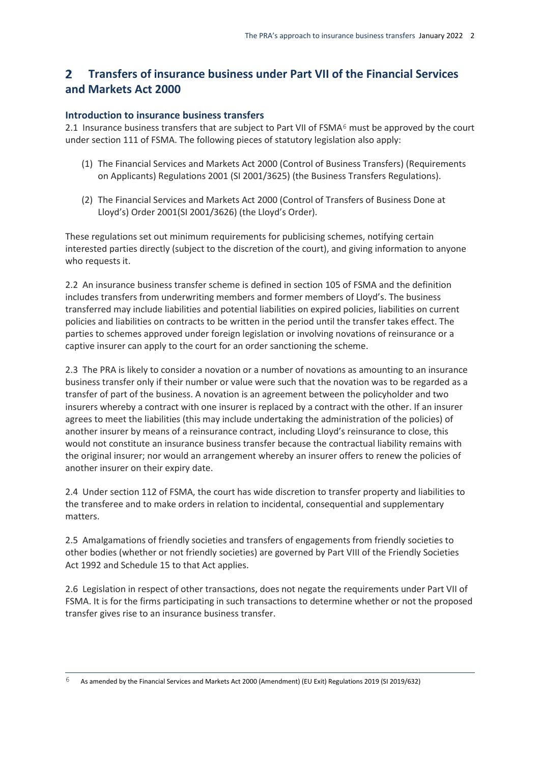#### <span id="page-4-0"></span> $\mathbf{z}$ **Transfers of insurance business under Part VII of the Financial Services and Markets Act 2000**

#### **Introduction to insurance business transfers**

2.1 Insurance business transfers that are subject to Part VII of FSMA<sup>6</sup> must be approved by the court under section 111 of FSMA. The following pieces of statutory legislation also apply:

- (1) The Financial Services and Markets Act 2000 (Control of Business Transfers) (Requirements on Applicants) Regulations 2001 (SI 2001/3625) (the Business Transfers Regulations).
- (2) The Financial Services and Markets Act 2000 (Control of Transfers of Business Done at Lloyd's) Order 2001(SI 2001/3626) (the Lloyd's Order).

These regulations set out minimum requirements for publicising schemes, notifying certain interested parties directly (subject to the discretion of the court), and giving information to anyone who requests it.

2.2 An insurance business transfer scheme is defined in section 105 of FSMA and the definition includes transfers from underwriting members and former members of Lloyd's. The business transferred may include liabilities and potential liabilities on expired policies, liabilities on current policies and liabilities on contracts to be written in the period until the transfer takes effect. The parties to schemes approved under foreign legislation or involving novations of reinsurance or a captive insurer can apply to the court for an order sanctioning the scheme.

2.3 The PRA is likely to consider a novation or a number of novations as amounting to an insurance business transfer only if their number or value were such that the novation was to be regarded as a transfer of part of the business. A novation is an agreement between the policyholder and two insurers whereby a contract with one insurer is replaced by a contract with the other. If an insurer agrees to meet the liabilities (this may include undertaking the administration of the policies) of another insurer by means of a reinsurance contract, including Lloyd's reinsurance to close, this would not constitute an insurance business transfer because the contractual liability remains with the original insurer; nor would an arrangement whereby an insurer offers to renew the policies of another insurer on their expiry date.

2.4 Under section 112 of FSMA, the court has wide discretion to transfer property and liabilities to the transferee and to make orders in relation to incidental, consequential and supplementary matters.

2.5 Amalgamations of friendly societies and transfers of engagements from friendly societies to other bodies (whether or not friendly societies) are governed by Part VIII of the Friendly Societies Act 1992 and Schedule 15 to that Act applies.

2.6 Legislation in respect of other transactions, does not negate the requirements under Part VII of FSMA. It is for the firms participating in such transactions to determine whether or not the proposed transfer gives rise to an insurance business transfer.

<sup>6</sup> 6 As amended by the Financial Services and Markets Act 2000 (Amendment) (EU Exit) Regulations 2019 (SI 2019/632)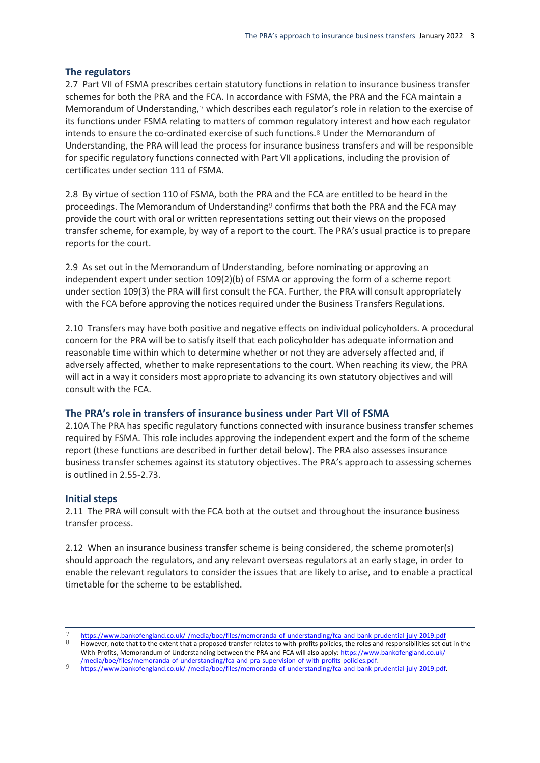#### **The regulators**

2.7 Part VII of FSMA prescribes certain statutory functions in relation to insurance business transfer schemes for both the PRA and the FCA. In accordance with FSMA, the PRA and the FCA maintain a Memorandum of Understanding,7 which describes each regulator's role in relation to the exercise of its functions under FSMA relating to matters of common regulatory interest and how each regulator intends to ensure the co-ordinated exercise of such functions.<sup>8</sup> Under the Memorandum of Understanding, the PRA will lead the process for insurance business transfers and will be responsible for specific regulatory functions connected with Part VII applications, including the provision of certificates under section 111 of FSMA.

2.8 By virtue of section 110 of FSMA, both the PRA and the FCA are entitled to be heard in the proceedings. The Memorandum of Understanding<sup>9</sup> confirms that both the PRA and the FCA may provide the court with oral or written representations setting out their views on the proposed transfer scheme, for example, by way of a report to the court. The PRA's usual practice is to prepare reports for the court.

2.9 As set out in the Memorandum of Understanding, before nominating or approving an independent expert under section 109(2)(b) of FSMA or approving the form of a scheme report under section 109(3) the PRA will first consult the FCA. Further, the PRA will consult appropriately with the FCA before approving the notices required under the Business Transfers Regulations.

2.10 Transfers may have both positive and negative effects on individual policyholders. A procedural concern for the PRA will be to satisfy itself that each policyholder has adequate information and reasonable time within which to determine whether or not they are adversely affected and, if adversely affected, whether to make representations to the court. When reaching its view, the PRA will act in a way it considers most appropriate to advancing its own statutory objectives and will consult with the FCA.

#### **The PRA's role in transfers of insurance business under Part VII of FSMA**

2.10A The PRA has specific regulatory functions connected with insurance business transfer schemes required by FSMA. This role includes approving the independent expert and the form of the scheme report (these functions are described in further detail below). The PRA also assesses insurance business transfer schemes against its statutory objectives. The PRA's approach to assessing schemes is outlined in 2.55-2.73.

#### **Initial steps**

1

2.11 The PRA will consult with the FCA both at the outset and throughout the insurance business transfer process.

2.12 When an insurance business transfer scheme is being considered, the scheme promoter(s) should approach the regulators, and any relevant overseas regulators at an early stage, in order to enable the relevant regulators to consider the issues that are likely to arise, and to enable a practical timetable for the scheme to be established.

<sup>7</sup> <https://www.bankofengland.co.uk/-/media/boe/files/memoranda-of-understanding/fca-and-bank-prudential-july-2019.pdf><br>8 Houwuar note that to the outent that a prepased transfer relates to uith prefits policies, the relate a However, note that to the extent that a proposed transfer relates to with-profits policies, the roles and responsibilities set out in the With-Profits, Memorandum of Understanding between the PRA and FCA will also apply[: https://www.bankofengland.co.uk/-](https://www.bankofengland.co.uk/-/media/boe/files/memoranda-of-understanding/fca-and-pra-supervision-of-with-profits-policies.pdf)

[<sup>/</sup>media/boe/files/memoranda-of-understanding/fca-and-pra-supervision-of-with-profits-policies.pdf.](https://www.bankofengland.co.uk/-/media/boe/files/memoranda-of-understanding/fca-and-pra-supervision-of-with-profits-policies.pdf) 9 [https://www.bankofengland.co.uk/-/media/boe/files/memoranda-of-understanding/fca-and-bank-prudential-july-2019.pdf.](https://www.bankofengland.co.uk/-/media/boe/files/memoranda-of-understanding/fca-and-bank-prudential-july-2019.pdf)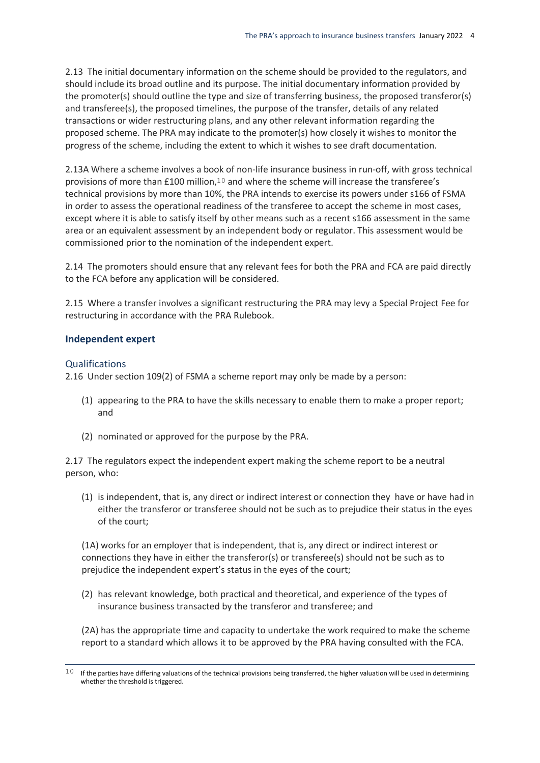2.13 The initial documentary information on the scheme should be provided to the regulators, and should include its broad outline and its purpose. The initial documentary information provided by the promoter(s) should outline the type and size of transferring business, the proposed transferor(s) and transferee(s), the proposed timelines, the purpose of the transfer, details of any related transactions or wider restructuring plans, and any other relevant information regarding the proposed scheme. The PRA may indicate to the promoter(s) how closely it wishes to monitor the progress of the scheme, including the extent to which it wishes to see draft documentation.

2.13A Where a scheme involves a book of non-life insurance business in run-off, with gross technical provisions of more than £100 million,10 and where the scheme will increase the transferee's technical provisions by more than 10%, the PRA intends to exercise its powers under s166 of FSMA in order to assess the operational readiness of the transferee to accept the scheme in most cases, except where it is able to satisfy itself by other means such as a recent s166 assessment in the same area or an equivalent assessment by an independent body or regulator. This assessment would be commissioned prior to the nomination of the independent expert.

2.14 The promoters should ensure that any relevant fees for both the PRA and FCA are paid directly to the FCA before any application will be considered.

2.15 Where a transfer involves a significant restructuring the PRA may levy a Special Project Fee for restructuring in accordance with the PRA Rulebook.

#### **Independent expert**

#### **Qualifications**

2.16 Under section 109(2) of FSMA a scheme report may only be made by a person:

- (1) appearing to the PRA to have the skills necessary to enable them to make a proper report; and
- (2) nominated or approved for the purpose by the PRA.

2.17 The regulators expect the independent expert making the scheme report to be a neutral person, who:

(1) is independent, that is, any direct or indirect interest or connection they have or have had in either the transferor or transferee should not be such as to prejudice their status in the eyes of the court;

(1A) works for an employer that is independent, that is, any direct or indirect interest or connections they have in either the transferor(s) or transferee(s) should not be such as to prejudice the independent expert's status in the eyes of the court;

(2) has relevant knowledge, both practical and theoretical, and experience of the types of insurance business transacted by the transferor and transferee; and

(2A) has the appropriate time and capacity to undertake the work required to make the scheme report to a standard which allows it to be approved by the PRA having consulted with the FCA.

 $\overline{a}$  $10$  If the parties have differing valuations of the technical provisions being transferred, the higher valuation will be used in determining whether the threshold is triggered.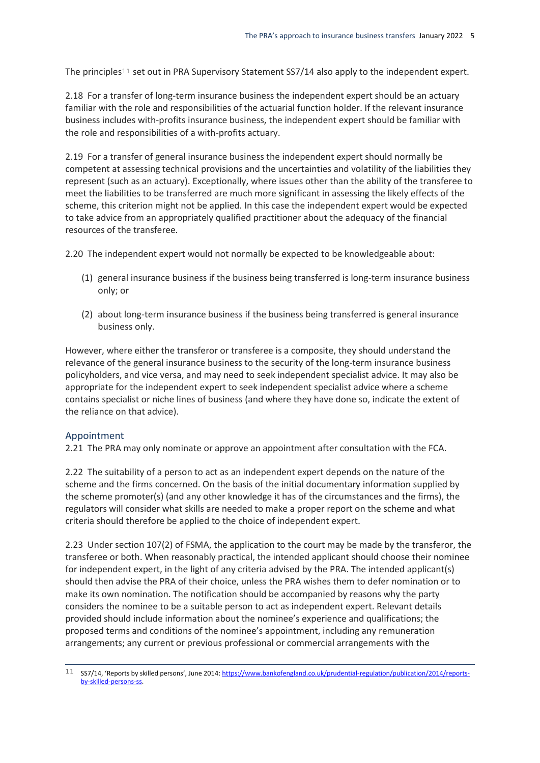The principles<sup>11</sup> set out in PRA Supervisory Statement SS7/14 also apply to the independent expert.

2.18 For a transfer of long-term insurance business the independent expert should be an actuary familiar with the role and responsibilities of the actuarial function holder. If the relevant insurance business includes with-profits insurance business, the independent expert should be familiar with the role and responsibilities of a with-profits actuary.

2.19 For a transfer of general insurance business the independent expert should normally be competent at assessing technical provisions and the uncertainties and volatility of the liabilities they represent (such as an actuary). Exceptionally, where issues other than the ability of the transferee to meet the liabilities to be transferred are much more significant in assessing the likely effects of the scheme, this criterion might not be applied. In this case the independent expert would be expected to take advice from an appropriately qualified practitioner about the adequacy of the financial resources of the transferee.

2.20 The independent expert would not normally be expected to be knowledgeable about:

- (1) general insurance business if the business being transferred is long-term insurance business only; or
- (2) about long-term insurance business if the business being transferred is general insurance business only.

However, where either the transferor or transferee is a composite, they should understand the relevance of the general insurance business to the security of the long-term insurance business policyholders, and vice versa, and may need to seek independent specialist advice. It may also be appropriate for the independent expert to seek independent specialist advice where a scheme contains specialist or niche lines of business (and where they have done so, indicate the extent of the reliance on that advice).

#### Appointment

 $\overline{a}$ 

2.21 The PRA may only nominate or approve an appointment after consultation with the FCA.

2.22 The suitability of a person to act as an independent expert depends on the nature of the scheme and the firms concerned. On the basis of the initial documentary information supplied by the scheme promoter(s) (and any other knowledge it has of the circumstances and the firms), the regulators will consider what skills are needed to make a proper report on the scheme and what criteria should therefore be applied to the choice of independent expert.

2.23 Under section 107(2) of FSMA, the application to the court may be made by the transferor, the transferee or both. When reasonably practical, the intended applicant should choose their nominee for independent expert, in the light of any criteria advised by the PRA. The intended applicant(s) should then advise the PRA of their choice, unless the PRA wishes them to defer nomination or to make its own nomination. The notification should be accompanied by reasons why the party considers the nominee to be a suitable person to act as independent expert. Relevant details provided should include information about the nominee's experience and qualifications; the proposed terms and conditions of the nominee's appointment, including any remuneration arrangements; any current or previous professional or commercial arrangements with the

<sup>11</sup> SS7/14, 'Reports by skilled persons', June 2014: [https://www.bankofengland.co.uk/prudential-regulation/publication/2014/reports](https://www.bankofengland.co.uk/prudential-regulation/publication/2014/reports-by-skilled-persons-ss)[by-skilled-persons-ss.](https://www.bankofengland.co.uk/prudential-regulation/publication/2014/reports-by-skilled-persons-ss)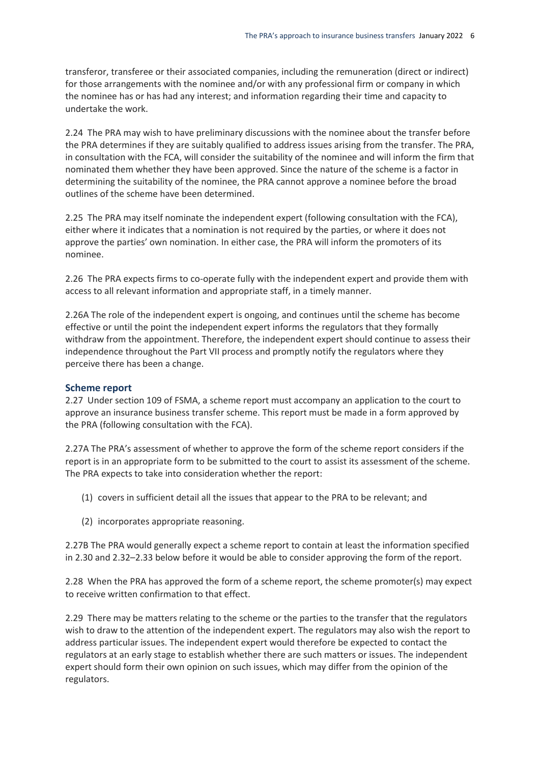transferor, transferee or their associated companies, including the remuneration (direct or indirect) for those arrangements with the nominee and/or with any professional firm or company in which the nominee has or has had any interest; and information regarding their time and capacity to undertake the work.

2.24 The PRA may wish to have preliminary discussions with the nominee about the transfer before the PRA determines if they are suitably qualified to address issues arising from the transfer. The PRA, in consultation with the FCA, will consider the suitability of the nominee and will inform the firm that nominated them whether they have been approved. Since the nature of the scheme is a factor in determining the suitability of the nominee, the PRA cannot approve a nominee before the broad outlines of the scheme have been determined.

2.25 The PRA may itself nominate the independent expert (following consultation with the FCA), either where it indicates that a nomination is not required by the parties, or where it does not approve the parties' own nomination. In either case, the PRA will inform the promoters of its nominee.

2.26 The PRA expects firms to co-operate fully with the independent expert and provide them with access to all relevant information and appropriate staff, in a timely manner.

2.26A The role of the independent expert is ongoing, and continues until the scheme has become effective or until the point the independent expert informs the regulators that they formally withdraw from the appointment. Therefore, the independent expert should continue to assess their independence throughout the Part VII process and promptly notify the regulators where they perceive there has been a change.

#### **Scheme report**

2.27 Under section 109 of FSMA, a scheme report must accompany an application to the court to approve an insurance business transfer scheme. This report must be made in a form approved by the PRA (following consultation with the FCA).

2.27A The PRA's assessment of whether to approve the form of the scheme report considers if the report is in an appropriate form to be submitted to the court to assist its assessment of the scheme. The PRA expects to take into consideration whether the report:

- (1) covers in sufficient detail all the issues that appear to the PRA to be relevant; and
- (2) incorporates appropriate reasoning.

2.27B The PRA would generally expect a scheme report to contain at least the information specified in 2.30 and 2.32–2.33 below before it would be able to consider approving the form of the report.

2.28 When the PRA has approved the form of a scheme report, the scheme promoter(s) may expect to receive written confirmation to that effect.

2.29 There may be matters relating to the scheme or the parties to the transfer that the regulators wish to draw to the attention of the independent expert. The regulators may also wish the report to address particular issues. The independent expert would therefore be expected to contact the regulators at an early stage to establish whether there are such matters or issues. The independent expert should form their own opinion on such issues, which may differ from the opinion of the regulators.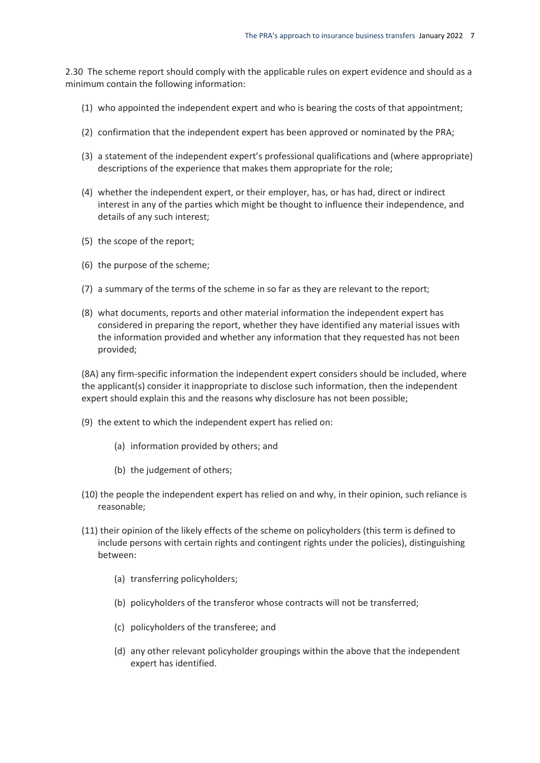2.30 The scheme report should comply with the applicable rules on expert evidence and should as a minimum contain the following information:

- (1) who appointed the independent expert and who is bearing the costs of that appointment;
- (2) confirmation that the independent expert has been approved or nominated by the PRA;
- (3) a statement of the independent expert's professional qualifications and (where appropriate) descriptions of the experience that makes them appropriate for the role;
- (4) whether the independent expert, or their employer, has, or has had, direct or indirect interest in any of the parties which might be thought to influence their independence, and details of any such interest;
- (5) the scope of the report;
- (6) the purpose of the scheme;
- (7) a summary of the terms of the scheme in so far as they are relevant to the report;
- (8) what documents, reports and other material information the independent expert has considered in preparing the report, whether they have identified any material issues with the information provided and whether any information that they requested has not been provided;

(8A) any firm-specific information the independent expert considers should be included, where the applicant(s) consider it inappropriate to disclose such information, then the independent expert should explain this and the reasons why disclosure has not been possible;

- (9) the extent to which the independent expert has relied on:
	- (a) information provided by others; and
	- (b) the judgement of others;
- (10) the people the independent expert has relied on and why, in their opinion, such reliance is reasonable;
- (11) their opinion of the likely effects of the scheme on policyholders (this term is defined to include persons with certain rights and contingent rights under the policies), distinguishing between:
	- (a) transferring policyholders;
	- (b) policyholders of the transferor whose contracts will not be transferred;
	- (c) policyholders of the transferee; and
	- (d) any other relevant policyholder groupings within the above that the independent expert has identified.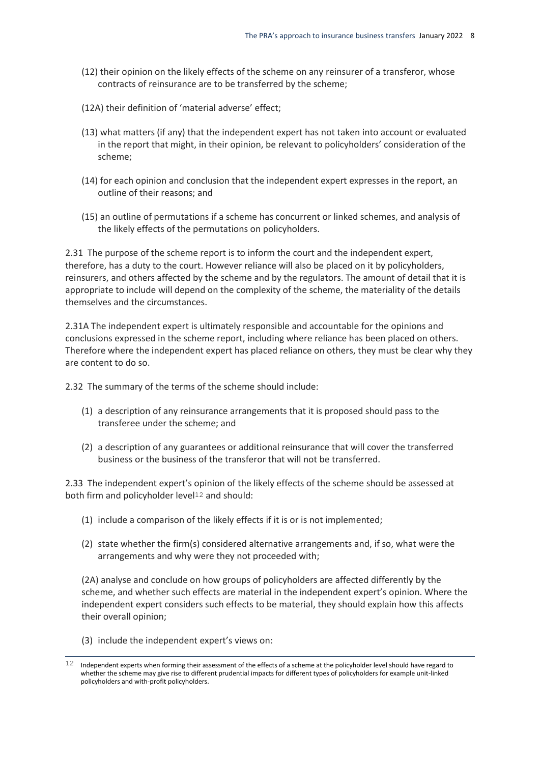- (12) their opinion on the likely effects of the scheme on any reinsurer of a transferor, whose contracts of reinsurance are to be transferred by the scheme;
- (12A) their definition of 'material adverse' effect;
- (13) what matters (if any) that the independent expert has not taken into account or evaluated in the report that might, in their opinion, be relevant to policyholders' consideration of the scheme;
- (14) for each opinion and conclusion that the independent expert expresses in the report, an outline of their reasons; and
- (15) an outline of permutations if a scheme has concurrent or linked schemes, and analysis of the likely effects of the permutations on policyholders.

2.31 The purpose of the scheme report is to inform the court and the independent expert, therefore, has a duty to the court. However reliance will also be placed on it by policyholders, reinsurers, and others affected by the scheme and by the regulators. The amount of detail that it is appropriate to include will depend on the complexity of the scheme, the materiality of the details themselves and the circumstances.

2.31A The independent expert is ultimately responsible and accountable for the opinions and conclusions expressed in the scheme report, including where reliance has been placed on others. Therefore where the independent expert has placed reliance on others, they must be clear why they are content to do so.

2.32 The summary of the terms of the scheme should include:

- (1) a description of any reinsurance arrangements that it is proposed should pass to the transferee under the scheme; and
- (2) a description of any guarantees or additional reinsurance that will cover the transferred business or the business of the transferor that will not be transferred.

2.33 The independent expert's opinion of the likely effects of the scheme should be assessed at both firm and policyholder level<sup>12</sup> and should:

- (1) include a comparison of the likely effects if it is or is not implemented;
- (2) state whether the firm(s) considered alternative arrangements and, if so, what were the arrangements and why were they not proceeded with;

(2A) analyse and conclude on how groups of policyholders are affected differently by the scheme, and whether such effects are material in the independent expert's opinion. Where the independent expert considers such effects to be material, they should explain how this affects their overall opinion;

(3) include the independent expert's views on:

 $\overline{a}$ 

 $12$  Independent experts when forming their assessment of the effects of a scheme at the policyholder level should have regard to whether the scheme may give rise to different prudential impacts for different types of policyholders for example unit-linked policyholders and with-profit policyholders.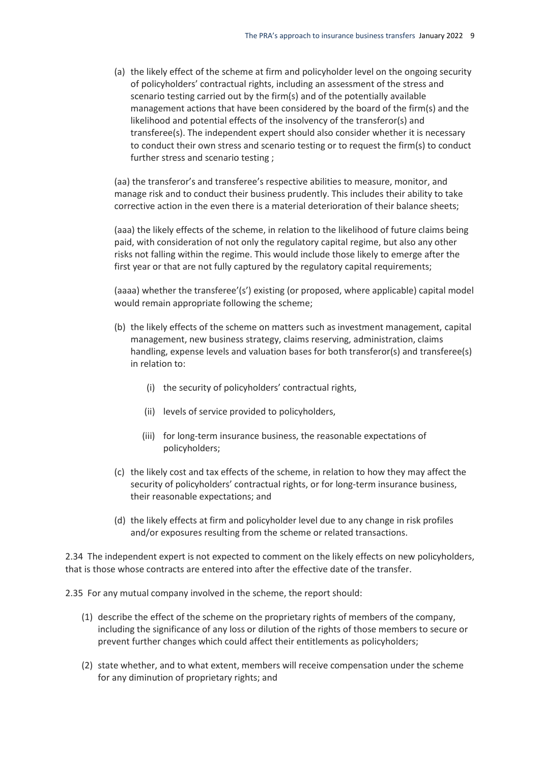(a) the likely effect of the scheme at firm and policyholder level on the ongoing security of policyholders' contractual rights, including an assessment of the stress and scenario testing carried out by the firm(s) and of the potentially available management actions that have been considered by the board of the firm(s) and the likelihood and potential effects of the insolvency of the transferor(s) and transferee(s). The independent expert should also consider whether it is necessary to conduct their own stress and scenario testing or to request the firm(s) to conduct further stress and scenario testing ;

(aa) the transferor's and transferee's respective abilities to measure, monitor, and manage risk and to conduct their business prudently. This includes their ability to take corrective action in the even there is a material deterioration of their balance sheets;

(aaa) the likely effects of the scheme, in relation to the likelihood of future claims being paid, with consideration of not only the regulatory capital regime, but also any other risks not falling within the regime. This would include those likely to emerge after the first year or that are not fully captured by the regulatory capital requirements;

(aaaa) whether the transferee'(s') existing (or proposed, where applicable) capital model would remain appropriate following the scheme;

- (b) the likely effects of the scheme on matters such as investment management, capital management, new business strategy, claims reserving, administration, claims handling, expense levels and valuation bases for both transferor(s) and transferee(s) in relation to:
	- (i) the security of policyholders' contractual rights,
	- (ii) levels of service provided to policyholders,
	- (iii) for long-term insurance business, the reasonable expectations of policyholders;
- (c) the likely cost and tax effects of the scheme, in relation to how they may affect the security of policyholders' contractual rights, or for long-term insurance business, their reasonable expectations; and
- (d) the likely effects at firm and policyholder level due to any change in risk profiles and/or exposures resulting from the scheme or related transactions.

2.34 The independent expert is not expected to comment on the likely effects on new policyholders, that is those whose contracts are entered into after the effective date of the transfer.

2.35 For any mutual company involved in the scheme, the report should:

- (1) describe the effect of the scheme on the proprietary rights of members of the company, including the significance of any loss or dilution of the rights of those members to secure or prevent further changes which could affect their entitlements as policyholders;
- (2) state whether, and to what extent, members will receive compensation under the scheme for any diminution of proprietary rights; and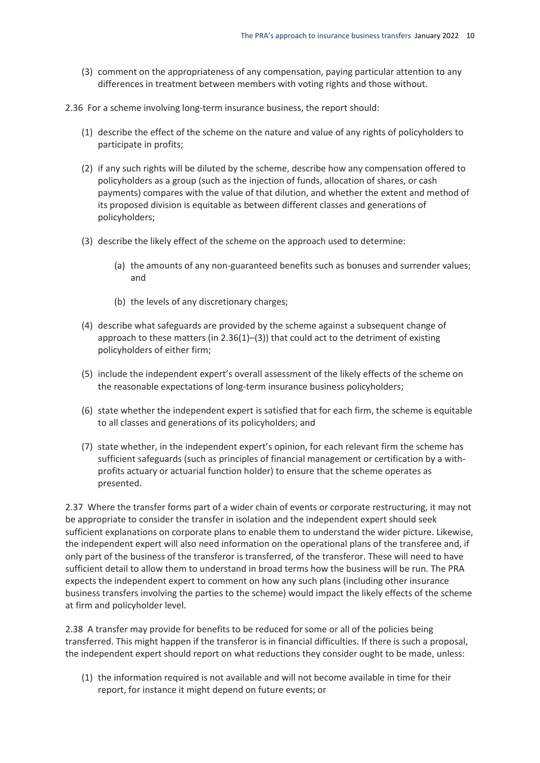- (3) comment on the appropriateness of any compensation, paying particular attention to any differences in treatment between members with voting rights and those without.
- 2.36 For a scheme involving long-term insurance business, the report should:
	- (1) describe the effect of the scheme on the nature and value of any rights of policyholders to participate in profits;
	- (2) if any such rights will be diluted by the scheme, describe how any compensation offered to policyholders as a group (such as the injection of funds, allocation of shares, or cash payments) compares with the value of that dilution, and whether the extent and method of its proposed division is equitable as between different classes and generations of policyholders;
	- (3) describe the likely effect of the scheme on the approach used to determine:
		- (a) the amounts of any non-guaranteed benefits such as bonuses and surrender values; and
		- (b) the levels of any discretionary charges;
	- (4) describe what safeguards are provided by the scheme against a subsequent change of approach to these matters (in  $2.36(1)$ –(3)) that could act to the detriment of existing policyholders of either firm;
	- (5) include the independent expert's overall assessment of the likely effects of the scheme on the reasonable expectations of long-term insurance business policyholders;
	- (6) state whether the independent expert is satisfied that for each firm, the scheme is equitable to all classes and generations of its policyholders; and
	- (7) state whether, in the independent expert's opinion, for each relevant firm the scheme has sufficient safeguards (such as principles of financial management or certification by a withprofits actuary or actuarial function holder) to ensure that the scheme operates as presented.

2.37 Where the transfer forms part of a wider chain of events or corporate restructuring, it may not be appropriate to consider the transfer in isolation and the independent expert should seek sufficient explanations on corporate plans to enable them to understand the wider picture. Likewise, the independent expert will also need information on the operational plans of the transferee and, if only part of the business of the transferor is transferred, of the transferor. These will need to have sufficient detail to allow them to understand in broad terms how the business will be run. The PRA expects the independent expert to comment on how any such plans (including other insurance business transfers involving the parties to the scheme) would impact the likely effects of the scheme at firm and policyholder level.

2.38 A transfer may provide for benefits to be reduced for some or all of the policies being transferred. This might happen if the transferor is in financial difficulties. If there is such a proposal, the independent expert should report on what reductions they consider ought to be made, unless:

(1) the information required is not available and will not become available in time for their report, for instance it might depend on future events; or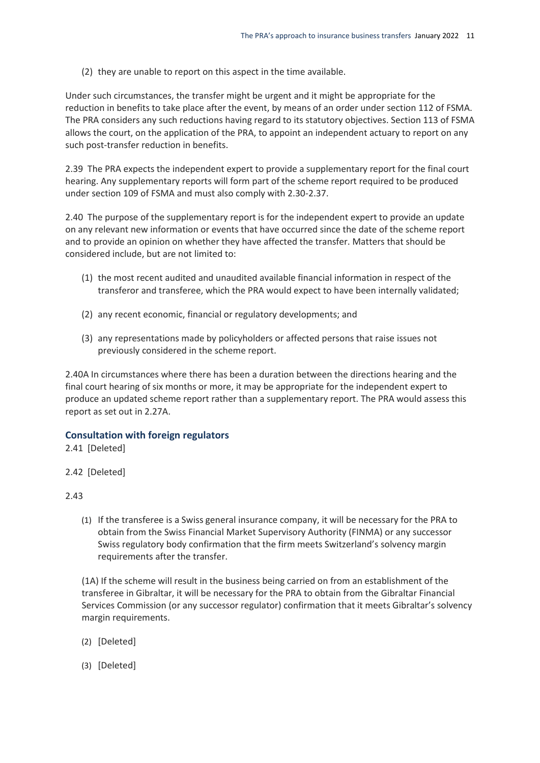(2) they are unable to report on this aspect in the time available.

Under such circumstances, the transfer might be urgent and it might be appropriate for the reduction in benefits to take place after the event, by means of an order under section 112 of FSMA. The PRA considers any such reductions having regard to its statutory objectives. Section 113 of FSMA allows the court, on the application of the PRA, to appoint an independent actuary to report on any such post-transfer reduction in benefits.

2.39 The PRA expects the independent expert to provide a supplementary report for the final court hearing. Any supplementary reports will form part of the scheme report required to be produced under section 109 of FSMA and must also comply with 2.30-2.37.

2.40 The purpose of the supplementary report is for the independent expert to provide an update on any relevant new information or events that have occurred since the date of the scheme report and to provide an opinion on whether they have affected the transfer. Matters that should be considered include, but are not limited to:

- (1) the most recent audited and unaudited available financial information in respect of the transferor and transferee, which the PRA would expect to have been internally validated;
- (2) any recent economic, financial or regulatory developments; and
- (3) any representations made by policyholders or affected persons that raise issues not previously considered in the scheme report.

2.40A In circumstances where there has been a duration between the directions hearing and the final court hearing of six months or more, it may be appropriate for the independent expert to produce an updated scheme report rather than a supplementary report. The PRA would assess this report as set out in 2.27A.

#### **Consultation with foreign regulators**

2.41 [Deleted]

2.42 [Deleted]

#### 2.43

(1) If the transferee is a Swiss general insurance company, it will be necessary for the PRA to obtain from the Swiss Financial Market Supervisory Authority (FINMA) or any successor Swiss regulatory body confirmation that the firm meets Switzerland's solvency margin requirements after the transfer.

(1A) If the scheme will result in the business being carried on from an establishment of the transferee in Gibraltar, it will be necessary for the PRA to obtain from the Gibraltar Financial Services Commission (or any successor regulator) confirmation that it meets Gibraltar's solvency margin requirements.

- (2) [Deleted]
- (3) [Deleted]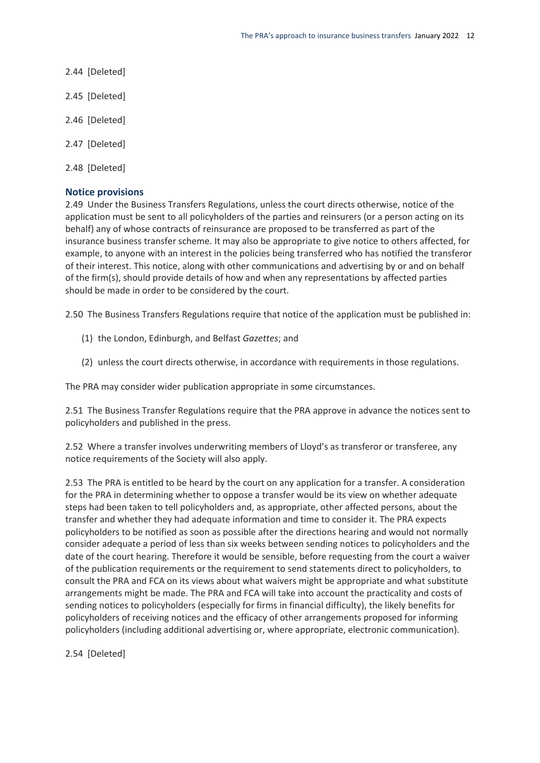- 2.44 [Deleted]
- 2.45 [Deleted]
- 2.46 [Deleted]
- 2.47 [Deleted]
- 2.48 [Deleted]

#### **Notice provisions**

2.49 Under the Business Transfers Regulations, unless the court directs otherwise, notice of the application must be sent to all policyholders of the parties and reinsurers (or a person acting on its behalf) any of whose contracts of reinsurance are proposed to be transferred as part of the insurance business transfer scheme. It may also be appropriate to give notice to others affected, for example, to anyone with an interest in the policies being transferred who has notified the transferor of their interest. This notice, along with other communications and advertising by or and on behalf of the firm(s), should provide details of how and when any representations by affected parties should be made in order to be considered by the court.

2.50 The Business Transfers Regulations require that notice of the application must be published in:

- (1) the London, Edinburgh, and Belfast *Gazettes*; and
- (2) unless the court directs otherwise, in accordance with requirements in those regulations.

The PRA may consider wider publication appropriate in some circumstances.

2.51 The Business Transfer Regulations require that the PRA approve in advance the notices sent to policyholders and published in the press.

2.52 Where a transfer involves underwriting members of Lloyd's as transferor or transferee, any notice requirements of the Society will also apply.

2.53 The PRA is entitled to be heard by the court on any application for a transfer. A consideration for the PRA in determining whether to oppose a transfer would be its view on whether adequate steps had been taken to tell policyholders and, as appropriate, other affected persons, about the transfer and whether they had adequate information and time to consider it. The PRA expects policyholders to be notified as soon as possible after the directions hearing and would not normally consider adequate a period of less than six weeks between sending notices to policyholders and the date of the court hearing. Therefore it would be sensible, before requesting from the court a waiver of the publication requirements or the requirement to send statements direct to policyholders, to consult the PRA and FCA on its views about what waivers might be appropriate and what substitute arrangements might be made. The PRA and FCA will take into account the practicality and costs of sending notices to policyholders (especially for firms in financial difficulty), the likely benefits for policyholders of receiving notices and the efficacy of other arrangements proposed for informing policyholders (including additional advertising or, where appropriate, electronic communication).

2.54 [Deleted]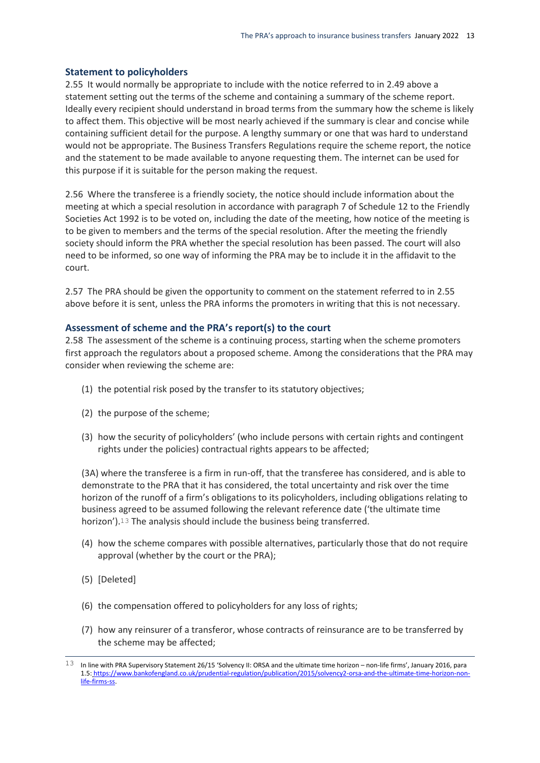#### **Statement to policyholders**

2.55 It would normally be appropriate to include with the notice referred to in 2.49 above a statement setting out the terms of the scheme and containing a summary of the scheme report. Ideally every recipient should understand in broad terms from the summary how the scheme is likely to affect them. This objective will be most nearly achieved if the summary is clear and concise while containing sufficient detail for the purpose. A lengthy summary or one that was hard to understand would not be appropriate. The Business Transfers Regulations require the scheme report, the notice and the statement to be made available to anyone requesting them. The internet can be used for this purpose if it is suitable for the person making the request.

2.56 Where the transferee is a friendly society, the notice should include information about the meeting at which a special resolution in accordance with paragraph 7 of Schedule 12 to the Friendly Societies Act 1992 is to be voted on, including the date of the meeting, how notice of the meeting is to be given to members and the terms of the special resolution. After the meeting the friendly society should inform the PRA whether the special resolution has been passed. The court will also need to be informed, so one way of informing the PRA may be to include it in the affidavit to the court.

2.57 The PRA should be given the opportunity to comment on the statement referred to in 2.55 above before it is sent, unless the PRA informs the promoters in writing that this is not necessary.

#### **Assessment of scheme and the PRA's report(s) to the court**

2.58 The assessment of the scheme is a continuing process, starting when the scheme promoters first approach the regulators about a proposed scheme. Among the considerations that the PRA may consider when reviewing the scheme are:

- (1) the potential risk posed by the transfer to its statutory objectives;
- (2) the purpose of the scheme;
- (3) how the security of policyholders' (who include persons with certain rights and contingent rights under the policies) contractual rights appears to be affected;

(3A) where the transferee is a firm in run-off, that the transferee has considered, and is able to demonstrate to the PRA that it has considered, the total uncertainty and risk over the time horizon of the runoff of a firm's obligations to its policyholders, including obligations relating to business agreed to be assumed following the relevant reference date ('the ultimate time horizon').13 The analysis should include the business being transferred.

- (4) how the scheme compares with possible alternatives, particularly those that do not require approval (whether by the court or the PRA);
- (5) [Deleted]

 $\overline{a}$ 

- (6) the compensation offered to policyholders for any loss of rights;
- (7) how any reinsurer of a transferor, whose contracts of reinsurance are to be transferred by the scheme may be affected;

 $^{13}$  In line with PRA Supervisory Statement 26/15 'Solvency II: ORSA and the ultimate time horizon – non-life firms', January 2016, para 1.5: [https://www.bankofengland.co.uk/prudential-regulation/publication/2015/solvency2-orsa-and-the-ultimate-time-horizon-non](https://www.bankofengland.co.uk/prudential-regulation/publication/2015/solvency2-orsa-and-the-ultimate-time-horizon-non-life-firms-ss)[life-firms-ss.](https://www.bankofengland.co.uk/prudential-regulation/publication/2015/solvency2-orsa-and-the-ultimate-time-horizon-non-life-firms-ss)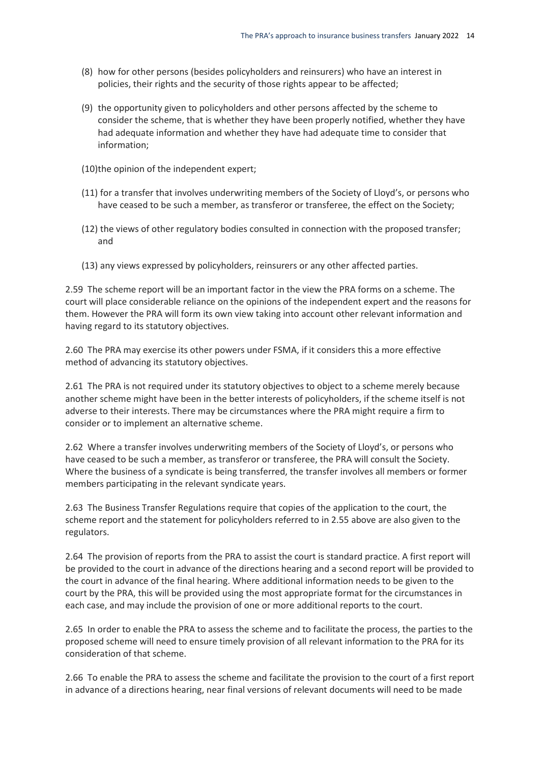- (8) how for other persons (besides policyholders and reinsurers) who have an interest in policies, their rights and the security of those rights appear to be affected;
- (9) the opportunity given to policyholders and other persons affected by the scheme to consider the scheme, that is whether they have been properly notified, whether they have had adequate information and whether they have had adequate time to consider that information;
- (10)the opinion of the independent expert;
- (11) for a transfer that involves underwriting members of the Society of Lloyd's, or persons who have ceased to be such a member, as transferor or transferee, the effect on the Society;
- (12) the views of other regulatory bodies consulted in connection with the proposed transfer; and
- (13) any views expressed by policyholders, reinsurers or any other affected parties.

2.59 The scheme report will be an important factor in the view the PRA forms on a scheme. The court will place considerable reliance on the opinions of the independent expert and the reasons for them. However the PRA will form its own view taking into account other relevant information and having regard to its statutory objectives.

2.60 The PRA may exercise its other powers under FSMA, if it considers this a more effective method of advancing its statutory objectives.

2.61 The PRA is not required under its statutory objectives to object to a scheme merely because another scheme might have been in the better interests of policyholders, if the scheme itself is not adverse to their interests. There may be circumstances where the PRA might require a firm to consider or to implement an alternative scheme.

2.62 Where a transfer involves underwriting members of the Society of Lloyd's, or persons who have ceased to be such a member, as transferor or transferee, the PRA will consult the Society. Where the business of a syndicate is being transferred, the transfer involves all members or former members participating in the relevant syndicate years.

2.63 The Business Transfer Regulations require that copies of the application to the court, the scheme report and the statement for policyholders referred to in 2.55 above are also given to the regulators.

2.64 The provision of reports from the PRA to assist the court is standard practice. A first report will be provided to the court in advance of the directions hearing and a second report will be provided to the court in advance of the final hearing. Where additional information needs to be given to the court by the PRA, this will be provided using the most appropriate format for the circumstances in each case, and may include the provision of one or more additional reports to the court.

2.65 In order to enable the PRA to assess the scheme and to facilitate the process, the parties to the proposed scheme will need to ensure timely provision of all relevant information to the PRA for its consideration of that scheme.

2.66 To enable the PRA to assess the scheme and facilitate the provision to the court of a first report in advance of a directions hearing, near final versions of relevant documents will need to be made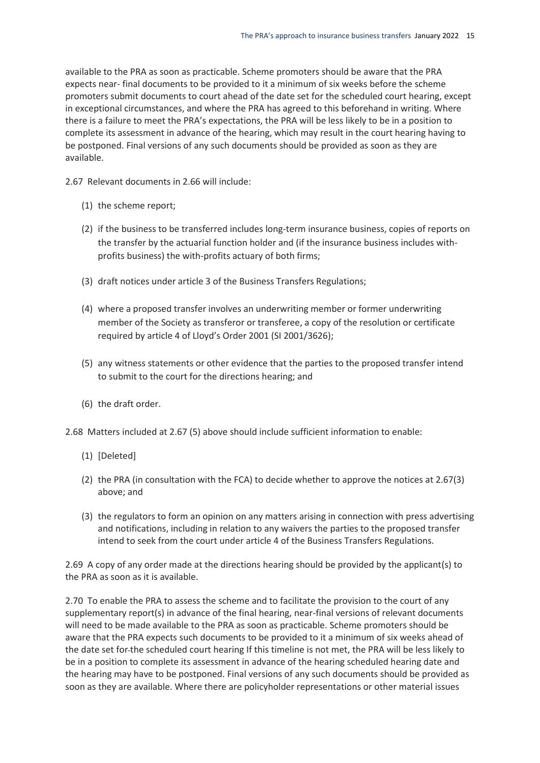available to the PRA as soon as practicable. Scheme promoters should be aware that the PRA expects near- final documents to be provided to it a minimum of six weeks before the scheme promoters submit documents to court ahead of the date set for the scheduled court hearing, except in exceptional circumstances, and where the PRA has agreed to this beforehand in writing. Where there is a failure to meet the PRA's expectations, the PRA will be less likely to be in a position to complete its assessment in advance of the hearing, which may result in the court hearing having to be postponed. Final versions of any such documents should be provided as soon as they are available.

2.67 Relevant documents in 2.66 will include:

- (1) the scheme report;
- (2) if the business to be transferred includes long-term insurance business, copies of reports on the transfer by the actuarial function holder and (if the insurance business includes withprofits business) the with-profits actuary of both firms;
- (3) draft notices under article 3 of the Business Transfers Regulations;
- (4) where a proposed transfer involves an underwriting member or former underwriting member of the Society as transferor or transferee, a copy of the resolution or certificate required by article 4 of Lloyd's Order 2001 (SI 2001/3626);
- (5) any witness statements or other evidence that the parties to the proposed transfer intend to submit to the court for the directions hearing; and
- (6) the draft order.
- 2.68 Matters included at 2.67 (5) above should include sufficient information to enable:
	- (1) [Deleted]
	- (2) the PRA (in consultation with the FCA) to decide whether to approve the notices at 2.67(3) above; and
	- (3) the regulators to form an opinion on any matters arising in connection with press advertising and notifications, including in relation to any waivers the parties to the proposed transfer intend to seek from the court under article 4 of the Business Transfers Regulations.

2.69 A copy of any order made at the directions hearing should be provided by the applicant(s) to the PRA as soon as it is available.

2.70 To enable the PRA to assess the scheme and to facilitate the provision to the court of any supplementary report(s) in advance of the final hearing, near-final versions of relevant documents will need to be made available to the PRA as soon as practicable. Scheme promoters should be aware that the PRA expects such documents to be provided to it a minimum of six weeks ahead of the date set for the scheduled court hearing If this timeline is not met, the PRA will be less likely to be in a position to complete its assessment in advance of the hearing scheduled hearing date and the hearing may have to be postponed. Final versions of any such documents should be provided as soon as they are available. Where there are policyholder representations or other material issues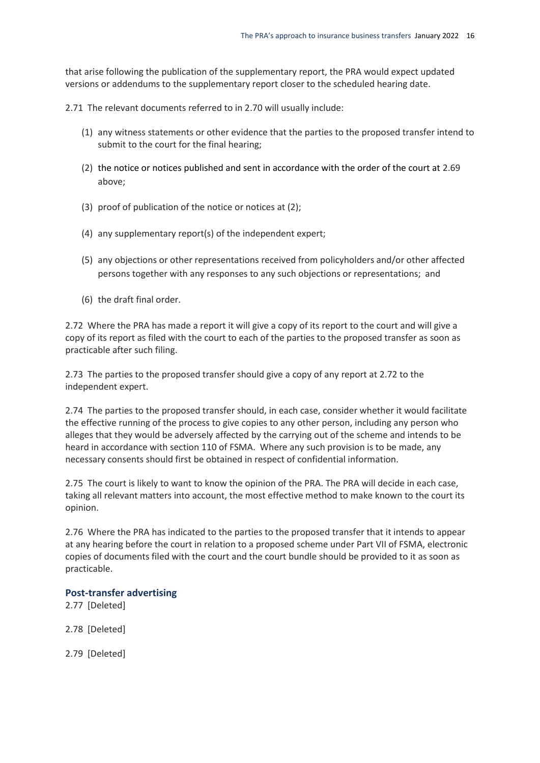that arise following the publication of the supplementary report, the PRA would expect updated versions or addendums to the supplementary report closer to the scheduled hearing date.

2.71 The relevant documents referred to in 2.70 will usually include:

- (1) any witness statements or other evidence that the parties to the proposed transfer intend to submit to the court for the final hearing;
- (2) the notice or notices published and sent in accordance with the order of the court at 2.69 above;
- (3) proof of publication of the notice or notices at (2);
- (4) any supplementary report(s) of the independent expert;
- (5) any objections or other representations received from policyholders and/or other affected persons together with any responses to any such objections or representations; and
- (6) the draft final order.

2.72 Where the PRA has made a report it will give a copy of its report to the court and will give a copy of its report as filed with the court to each of the parties to the proposed transfer as soon as practicable after such filing.

2.73 The parties to the proposed transfer should give a copy of any report at 2.72 to the independent expert.

2.74 The parties to the proposed transfer should, in each case, consider whether it would facilitate the effective running of the process to give copies to any other person, including any person who alleges that they would be adversely affected by the carrying out of the scheme and intends to be heard in accordance with section 110 of FSMA. Where any such provision is to be made, any necessary consents should first be obtained in respect of confidential information.

2.75 The court is likely to want to know the opinion of the PRA. The PRA will decide in each case, taking all relevant matters into account, the most effective method to make known to the court its opinion.

2.76 Where the PRA has indicated to the parties to the proposed transfer that it intends to appear at any hearing before the court in relation to a proposed scheme under Part VII of FSMA, electronic copies of documents filed with the court and the court bundle should be provided to it as soon as practicable.

#### **Post-transfer advertising**

2.77 [Deleted]

2.78 [Deleted]

2.79 [Deleted]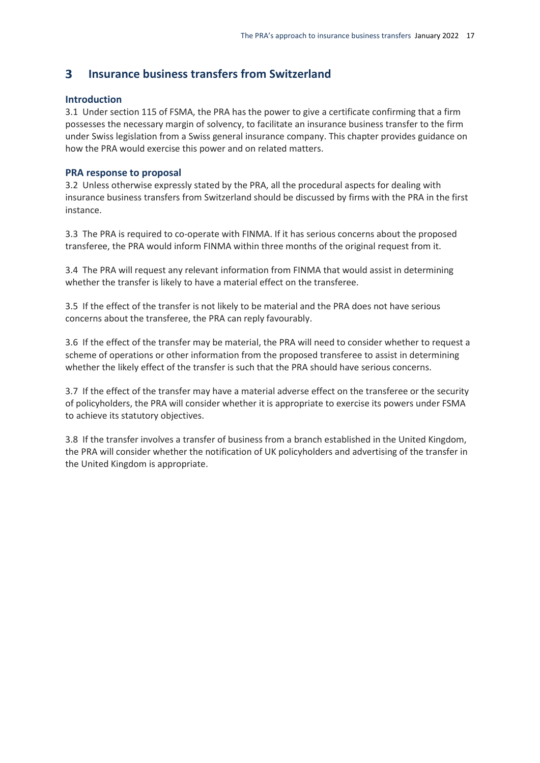#### <span id="page-19-0"></span>**Insurance business transfers from Switzerland**  $\overline{\mathbf{3}}$

#### **Introduction**

3.1 Under section 115 of FSMA, the PRA has the power to give a certificate confirming that a firm possesses the necessary margin of solvency, to facilitate an insurance business transfer to the firm under Swiss legislation from a Swiss general insurance company. This chapter provides guidance on how the PRA would exercise this power and on related matters.

#### **PRA response to proposal**

3.2 Unless otherwise expressly stated by the PRA, all the procedural aspects for dealing with insurance business transfers from Switzerland should be discussed by firms with the PRA in the first instance.

3.3 The PRA is required to co-operate with FINMA. If it has serious concerns about the proposed transferee, the PRA would inform FINMA within three months of the original request from it.

3.4 The PRA will request any relevant information from FINMA that would assist in determining whether the transfer is likely to have a material effect on the transferee.

3.5 If the effect of the transfer is not likely to be material and the PRA does not have serious concerns about the transferee, the PRA can reply favourably.

3.6 If the effect of the transfer may be material, the PRA will need to consider whether to request a scheme of operations or other information from the proposed transferee to assist in determining whether the likely effect of the transfer is such that the PRA should have serious concerns.

3.7 If the effect of the transfer may have a material adverse effect on the transferee or the security of policyholders, the PRA will consider whether it is appropriate to exercise its powers under FSMA to achieve its statutory objectives.

<span id="page-19-1"></span>3.8 If the transfer involves a transfer of business from a branch established in the United Kingdom, the PRA will consider whether the notification of UK policyholders and advertising of the transfer in the United Kingdom is appropriate.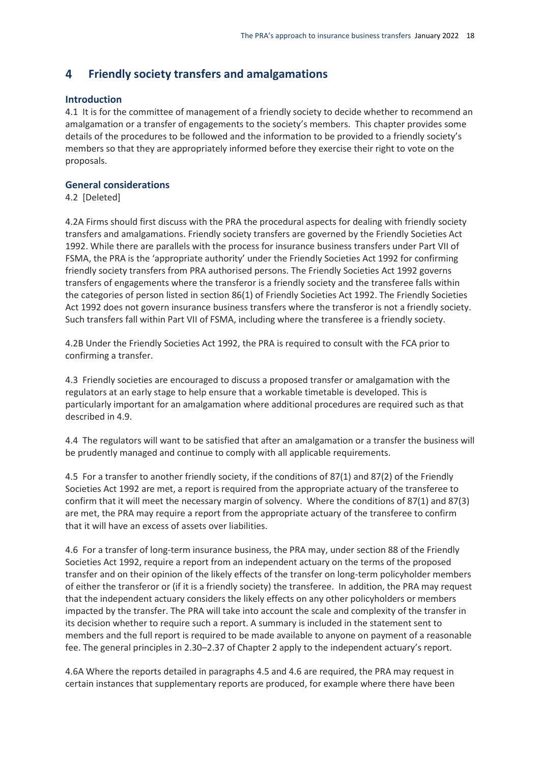#### 4 **Friendly society transfers and amalgamations**

#### **Introduction**

4.1 It is for the committee of management of a friendly society to decide whether to recommend an amalgamation or a transfer of engagements to the society's members. This chapter provides some details of the procedures to be followed and the information to be provided to a friendly society's members so that they are appropriately informed before they exercise their right to vote on the proposals.

#### **General considerations**

4.2 [Deleted]

4.2A Firms should first discuss with the PRA the procedural aspects for dealing with friendly society transfers and amalgamations. Friendly society transfers are governed by the Friendly Societies Act 1992. While there are parallels with the process for insurance business transfers under Part VII of FSMA, the PRA is the 'appropriate authority' under the Friendly Societies Act 1992 for confirming friendly society transfers from PRA authorised persons. The Friendly Societies Act 1992 governs transfers of engagements where the transferor is a friendly society and the transferee falls within the categories of person listed in section 86(1) of Friendly Societies Act 1992. The Friendly Societies Act 1992 does not govern insurance business transfers where the transferor is not a friendly society. Such transfers fall within Part VII of FSMA, including where the transferee is a friendly society.

4.2B Under the Friendly Societies Act 1992, the PRA is required to consult with the FCA prior to confirming a transfer.

4.3 Friendly societies are encouraged to discuss a proposed transfer or amalgamation with the regulators at an early stage to help ensure that a workable timetable is developed. This is particularly important for an amalgamation where additional procedures are required such as that described in 4.9.

4.4 The regulators will want to be satisfied that after an amalgamation or a transfer the business will be prudently managed and continue to comply with all applicable requirements.

4.5 For a transfer to another friendly society, if the conditions of 87(1) and 87(2) of the Friendly Societies Act 1992 are met, a report is required from the appropriate actuary of the transferee to confirm that it will meet the necessary margin of solvency. Where the conditions of 87(1) and 87(3) are met, the PRA may require a report from the appropriate actuary of the transferee to confirm that it will have an excess of assets over liabilities.

4.6 For a transfer of long-term insurance business, the PRA may, under section 88 of the Friendly Societies Act 1992, require a report from an independent actuary on the terms of the proposed transfer and on their opinion of the likely effects of the transfer on long-term policyholder members of either the transferor or (if it is a friendly society) the transferee. In addition, the PRA may request that the independent actuary considers the likely effects on any other policyholders or members impacted by the transfer. The PRA will take into account the scale and complexity of the transfer in its decision whether to require such a report. A summary is included in the statement sent to members and the full report is required to be made available to anyone on payment of a reasonable fee. The general principles in 2.30–2.37 of Chapter 2 apply to the independent actuary's report.

4.6A Where the reports detailed in paragraphs 4.5 and 4.6 are required, the PRA may request in certain instances that supplementary reports are produced, for example where there have been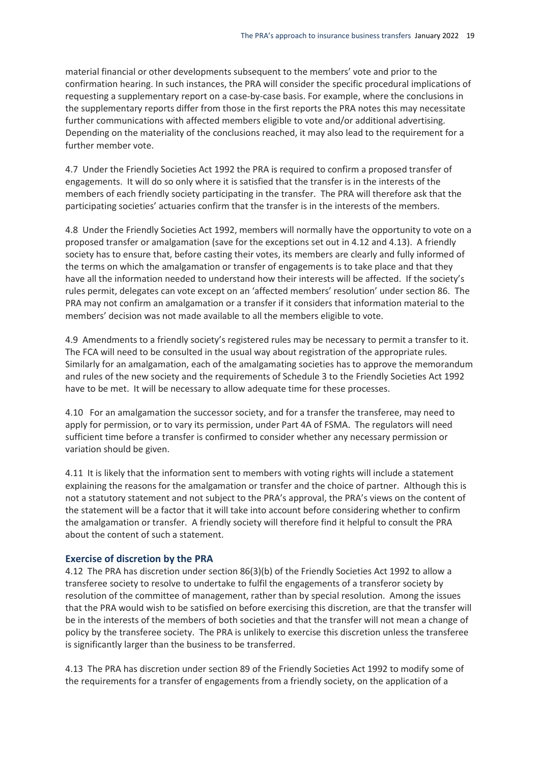material financial or other developments subsequent to the members' vote and prior to the confirmation hearing. In such instances, the PRA will consider the specific procedural implications of requesting a supplementary report on a case-by-case basis. For example, where the conclusions in the supplementary reports differ from those in the first reports the PRA notes this may necessitate further communications with affected members eligible to vote and/or additional advertising. Depending on the materiality of the conclusions reached, it may also lead to the requirement for a further member vote.

4.7 Under the Friendly Societies Act 1992 the PRA is required to confirm a proposed transfer of engagements. It will do so only where it is satisfied that the transfer is in the interests of the members of each friendly society participating in the transfer. The PRA will therefore ask that the participating societies' actuaries confirm that the transfer is in the interests of the members.

4.8 Under the Friendly Societies Act 1992, members will normally have the opportunity to vote on a proposed transfer or amalgamation (save for the exceptions set out in 4.12 and 4.13). A friendly society has to ensure that, before casting their votes, its members are clearly and fully informed of the terms on which the amalgamation or transfer of engagements is to take place and that they have all the information needed to understand how their interests will be affected. If the society's rules permit, delegates can vote except on an 'affected members' resolution' under section 86. The PRA may not confirm an amalgamation or a transfer if it considers that information material to the members' decision was not made available to all the members eligible to vote.

4.9 Amendments to a friendly society's registered rules may be necessary to permit a transfer to it. The FCA will need to be consulted in the usual way about registration of the appropriate rules. Similarly for an amalgamation, each of the amalgamating societies has to approve the memorandum and rules of the new society and the requirements of Schedule 3 to the Friendly Societies Act 1992 have to be met. It will be necessary to allow adequate time for these processes.

4.10 For an amalgamation the successor society, and for a transfer the transferee, may need to apply for permission, or to vary its permission, under Part 4A of FSMA. The regulators will need sufficient time before a transfer is confirmed to consider whether any necessary permission or variation should be given.

4.11 It is likely that the information sent to members with voting rights will include a statement explaining the reasons for the amalgamation or transfer and the choice of partner. Although this is not a statutory statement and not subject to the PRA's approval, the PRA's views on the content of the statement will be a factor that it will take into account before considering whether to confirm the amalgamation or transfer. A friendly society will therefore find it helpful to consult the PRA about the content of such a statement.

#### **Exercise of discretion by the PRA**

4.12 The PRA has discretion under section 86(3)(b) of the Friendly Societies Act 1992 to allow a transferee society to resolve to undertake to fulfil the engagements of a transferor society by resolution of the committee of management, rather than by special resolution. Among the issues that the PRA would wish to be satisfied on before exercising this discretion, are that the transfer will be in the interests of the members of both societies and that the transfer will not mean a change of policy by the transferee society. The PRA is unlikely to exercise this discretion unless the transferee is significantly larger than the business to be transferred.

4.13 The PRA has discretion under section 89 of the Friendly Societies Act 1992 to modify some of the requirements for a transfer of engagements from a friendly society, on the application of a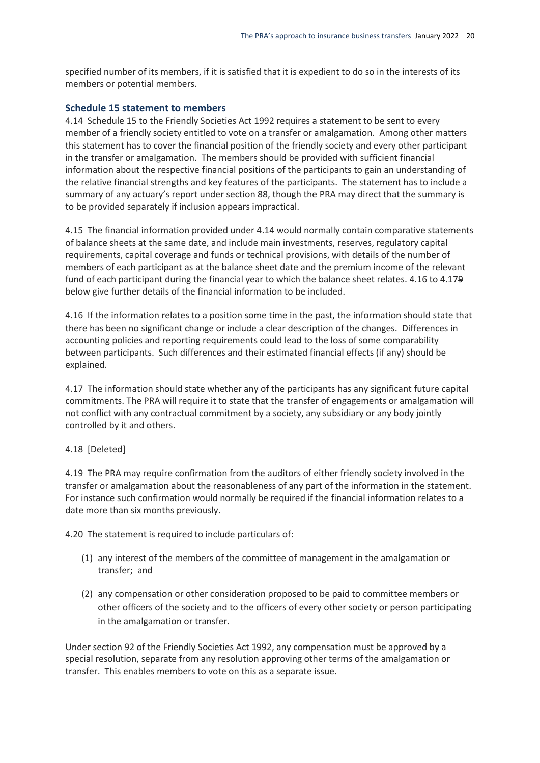specified number of its members, if it is satisfied that it is expedient to do so in the interests of its members or potential members.

#### **Schedule 15 statement to members**

4.14 Schedule 15 to the Friendly Societies Act 1992 requires a statement to be sent to every member of a friendly society entitled to vote on a transfer or amalgamation. Among other matters this statement has to cover the financial position of the friendly society and every other participant in the transfer or amalgamation. The members should be provided with sufficient financial information about the respective financial positions of the participants to gain an understanding of the relative financial strengths and key features of the participants. The statement has to include a summary of any actuary's report under section 88, though the PRA may direct that the summary is to be provided separately if inclusion appears impractical.

4.15 The financial information provided under 4.14 would normally contain comparative statements of balance sheets at the same date, and include main investments, reserves, regulatory capital requirements, capital coverage and funds or technical provisions, with details of the number of members of each participant as at the balance sheet date and the premium income of the relevant fund of each participant during the financial year to which the balance sheet relates. 4.16 to 4.179 below give further details of the financial information to be included.

4.16 If the information relates to a position some time in the past, the information should state that there has been no significant change or include a clear description of the changes. Differences in accounting policies and reporting requirements could lead to the loss of some comparability between participants. Such differences and their estimated financial effects (if any) should be explained.

4.17 The information should state whether any of the participants has any significant future capital commitments. The PRA will require it to state that the transfer of engagements or amalgamation will not conflict with any contractual commitment by a society, any subsidiary or any body jointly controlled by it and others.

#### 4.18 [Deleted]

4.19 The PRA may require confirmation from the auditors of either friendly society involved in the transfer or amalgamation about the reasonableness of any part of the information in the statement. For instance such confirmation would normally be required if the financial information relates to a date more than six months previously.

4.20 The statement is required to include particulars of:

- (1) any interest of the members of the committee of management in the amalgamation or transfer; and
- (2) any compensation or other consideration proposed to be paid to committee members or other officers of the society and to the officers of every other society or person participating in the amalgamation or transfer.

Under section 92 of the Friendly Societies Act 1992, any compensation must be approved by a special resolution, separate from any resolution approving other terms of the amalgamation or transfer. This enables members to vote on this as a separate issue.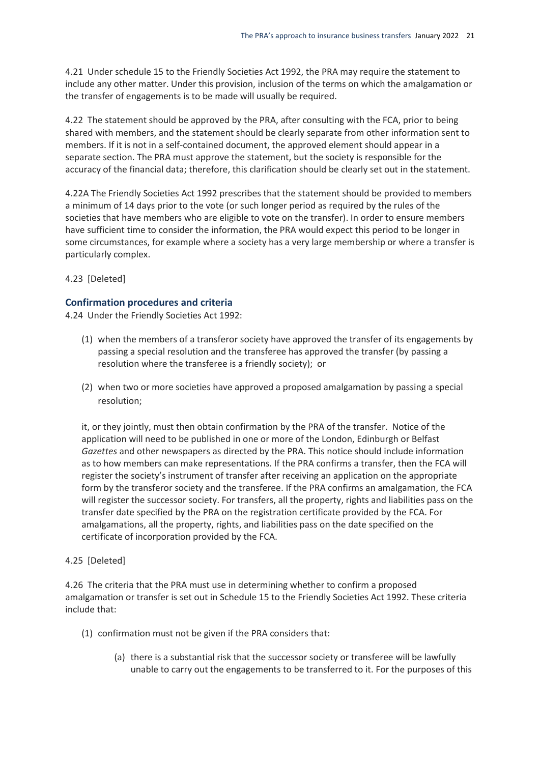4.21 Under schedule 15 to the Friendly Societies Act 1992, the PRA may require the statement to include any other matter. Under this provision, inclusion of the terms on which the amalgamation or the transfer of engagements is to be made will usually be required.

4.22 The statement should be approved by the PRA, after consulting with the FCA, prior to being shared with members, and the statement should be clearly separate from other information sent to members. If it is not in a self-contained document, the approved element should appear in a separate section. The PRA must approve the statement, but the society is responsible for the accuracy of the financial data; therefore, this clarification should be clearly set out in the statement.

4.22A The Friendly Societies Act 1992 prescribes that the statement should be provided to members a minimum of 14 days prior to the vote (or such longer period as required by the rules of the societies that have members who are eligible to vote on the transfer). In order to ensure members have sufficient time to consider the information, the PRA would expect this period to be longer in some circumstances, for example where a society has a very large membership or where a transfer is particularly complex.

4.23 [Deleted]

### **Confirmation procedures and criteria**

4.24 Under the Friendly Societies Act 1992:

- (1) when the members of a transferor society have approved the transfer of its engagements by passing a special resolution and the transferee has approved the transfer (by passing a resolution where the transferee is a friendly society); or
- (2) when two or more societies have approved a proposed amalgamation by passing a special resolution;

it, or they jointly, must then obtain confirmation by the PRA of the transfer. Notice of the application will need to be published in one or more of the London, Edinburgh or Belfast *Gazettes* and other newspapers as directed by the PRA. This notice should include information as to how members can make representations. If the PRA confirms a transfer, then the FCA will register the society's instrument of transfer after receiving an application on the appropriate form by the transferor society and the transferee. If the PRA confirms an amalgamation, the FCA will register the successor society. For transfers, all the property, rights and liabilities pass on the transfer date specified by the PRA on the registration certificate provided by the FCA. For amalgamations, all the property, rights, and liabilities pass on the date specified on the certificate of incorporation provided by the FCA.

### 4.25 [Deleted]

4.26 The criteria that the PRA must use in determining whether to confirm a proposed amalgamation or transfer is set out in Schedule 15 to the Friendly Societies Act 1992. These criteria include that:

- (1) confirmation must not be given if the PRA considers that:
	- (a) there is a substantial risk that the successor society or transferee will be lawfully unable to carry out the engagements to be transferred to it. For the purposes of this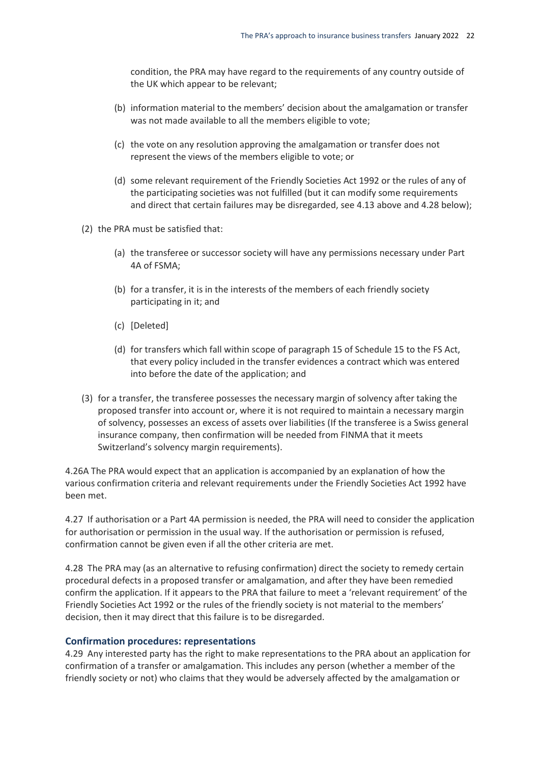condition, the PRA may have regard to the requirements of any country outside of the UK which appear to be relevant;

- (b) information material to the members' decision about the amalgamation or transfer was not made available to all the members eligible to vote;
- (c) the vote on any resolution approving the amalgamation or transfer does not represent the views of the members eligible to vote; or
- (d) some relevant requirement of the Friendly Societies Act 1992 or the rules of any of the participating societies was not fulfilled (but it can modify some requirements and direct that certain failures may be disregarded, see 4.13 above and 4.28 below);
- (2) the PRA must be satisfied that:
	- (a) the transferee or successor society will have any permissions necessary under Part 4A of FSMA;
	- (b) for a transfer, it is in the interests of the members of each friendly society participating in it; and
	- (c) [Deleted]
	- (d) for transfers which fall within scope of paragraph 15 of Schedule 15 to the FS Act, that every policy included in the transfer evidences a contract which was entered into before the date of the application; and
- (3) for a transfer, the transferee possesses the necessary margin of solvency after taking the proposed transfer into account or, where it is not required to maintain a necessary margin of solvency, possesses an excess of assets over liabilities (If the transferee is a Swiss general insurance company, then confirmation will be needed from FINMA that it meets Switzerland's solvency margin requirements).

4.26A The PRA would expect that an application is accompanied by an explanation of how the various confirmation criteria and relevant requirements under the Friendly Societies Act 1992 have been met.

4.27 If authorisation or a Part 4A permission is needed, the PRA will need to consider the application for authorisation or permission in the usual way. If the authorisation or permission is refused, confirmation cannot be given even if all the other criteria are met.

4.28 The PRA may (as an alternative to refusing confirmation) direct the society to remedy certain procedural defects in a proposed transfer or amalgamation, and after they have been remedied confirm the application. If it appears to the PRA that failure to meet a 'relevant requirement' of the Friendly Societies Act 1992 or the rules of the friendly society is not material to the members' decision, then it may direct that this failure is to be disregarded.

#### **Confirmation procedures: representations**

4.29 Any interested party has the right to make representations to the PRA about an application for confirmation of a transfer or amalgamation. This includes any person (whether a member of the friendly society or not) who claims that they would be adversely affected by the amalgamation or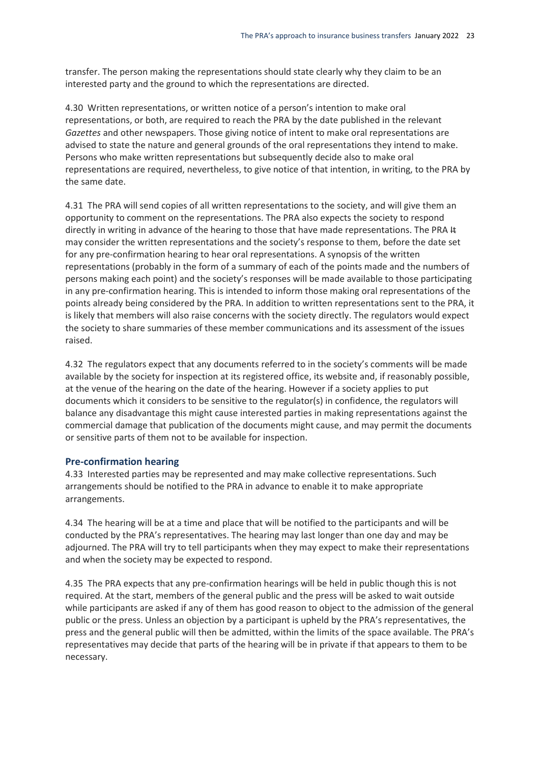transfer. The person making the representations should state clearly why they claim to be an interested party and the ground to which the representations are directed.

4.30 Written representations, or written notice of a person's intention to make oral representations, or both, are required to reach the PRA by the date published in the relevant *Gazettes* and other newspapers. Those giving notice of intent to make oral representations are advised to state the nature and general grounds of the oral representations they intend to make. Persons who make written representations but subsequently decide also to make oral representations are required, nevertheless, to give notice of that intention, in writing, to the PRA by the same date.

4.31 The PRA will send copies of all written representations to the society, and will give them an opportunity to comment on the representations. The PRA also expects the society to respond directly in writing in advance of the hearing to those that have made representations. The PRA # may consider the written representations and the society's response to them, before the date set for any pre-confirmation hearing to hear oral representations. A synopsis of the written representations (probably in the form of a summary of each of the points made and the numbers of persons making each point) and the society's responses will be made available to those participating in any pre-confirmation hearing. This is intended to inform those making oral representations of the points already being considered by the PRA. In addition to written representations sent to the PRA, it is likely that members will also raise concerns with the society directly. The regulators would expect the society to share summaries of these member communications and its assessment of the issues raised.

4.32 The regulators expect that any documents referred to in the society's comments will be made available by the society for inspection at its registered office, its website and, if reasonably possible, at the venue of the hearing on the date of the hearing. However if a society applies to put documents which it considers to be sensitive to the regulator(s) in confidence, the regulators will balance any disadvantage this might cause interested parties in making representations against the commercial damage that publication of the documents might cause, and may permit the documents or sensitive parts of them not to be available for inspection.

#### **Pre-confirmation hearing**

4.33 Interested parties may be represented and may make collective representations. Such arrangements should be notified to the PRA in advance to enable it to make appropriate arrangements.

4.34 The hearing will be at a time and place that will be notified to the participants and will be conducted by the PRA's representatives. The hearing may last longer than one day and may be adjourned. The PRA will try to tell participants when they may expect to make their representations and when the society may be expected to respond.

4.35 The PRA expects that any pre-confirmation hearings will be held in public though this is not required. At the start, members of the general public and the press will be asked to wait outside while participants are asked if any of them has good reason to object to the admission of the general public or the press. Unless an objection by a participant is upheld by the PRA's representatives, the press and the general public will then be admitted, within the limits of the space available. The PRA's representatives may decide that parts of the hearing will be in private if that appears to them to be necessary.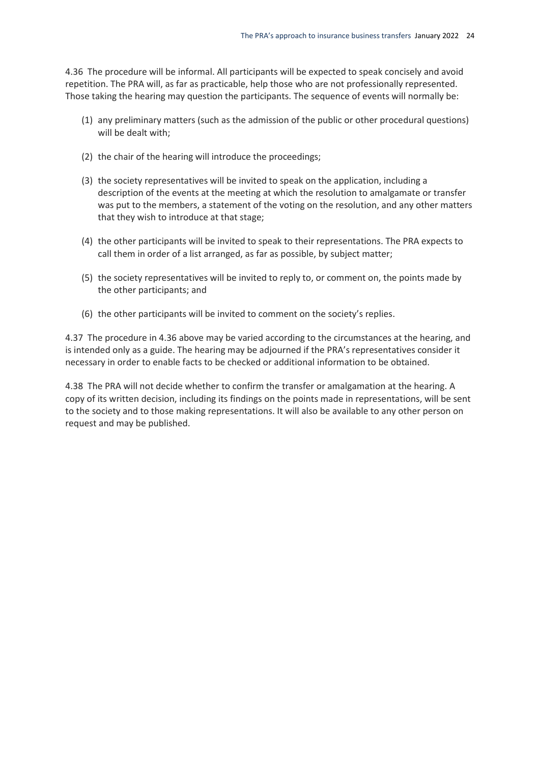4.36 The procedure will be informal. All participants will be expected to speak concisely and avoid repetition. The PRA will, as far as practicable, help those who are not professionally represented. Those taking the hearing may question the participants. The sequence of events will normally be:

- (1) any preliminary matters (such as the admission of the public or other procedural questions) will be dealt with;
- (2) the chair of the hearing will introduce the proceedings;
- (3) the society representatives will be invited to speak on the application, including a description of the events at the meeting at which the resolution to amalgamate or transfer was put to the members, a statement of the voting on the resolution, and any other matters that they wish to introduce at that stage;
- (4) the other participants will be invited to speak to their representations. The PRA expects to call them in order of a list arranged, as far as possible, by subject matter;
- (5) the society representatives will be invited to reply to, or comment on, the points made by the other participants; and
- (6) the other participants will be invited to comment on the society's replies.

4.37 The procedure in 4.36 above may be varied according to the circumstances at the hearing, and is intended only as a guide. The hearing may be adjourned if the PRA's representatives consider it necessary in order to enable facts to be checked or additional information to be obtained.

4.38 The PRA will not decide whether to confirm the transfer or amalgamation at the hearing. A copy of its written decision, including its findings on the points made in representations, will be sent to the society and to those making representations. It will also be available to any other person on request and may be published.